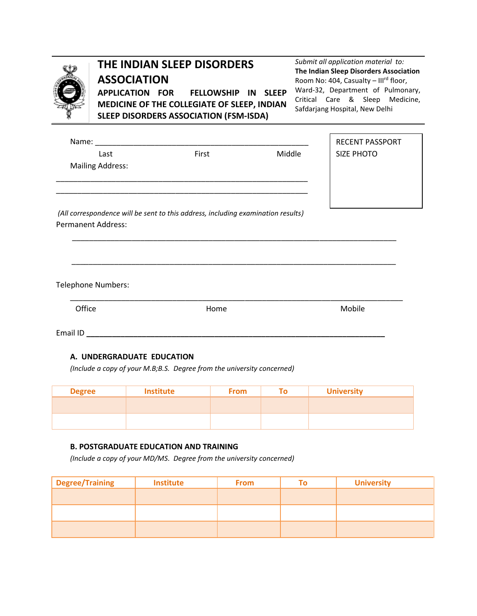

## **THE INDIAN SLEEP DISORDERS ASSOCIATION**

**APPLICATION FOR FELLOWSHIP IN SLEEP MEDICINE OF THE COLLEGIATE OF SLEEP, INDIAN SLEEP DISORDERS ASSOCIATION (FSM-ISDA)**

*Submit all application material to:* **The Indian Sleep Disorders Association** Room No: 404, Casualty – IIIrd floor, Ward-32, Department of Pulmonary, Critical Care & Sleep Medicine, Safdarjang Hospital, New Delhi

| Name:                     |                                                                                  |        | <b>RECENT PASSPORT</b> |
|---------------------------|----------------------------------------------------------------------------------|--------|------------------------|
| Last                      | First                                                                            | Middle | <b>SIZE PHOTO</b>      |
| <b>Mailing Address:</b>   |                                                                                  |        |                        |
|                           |                                                                                  |        |                        |
|                           |                                                                                  |        |                        |
|                           | (All correspondence will be sent to this address, including examination results) |        |                        |
| <b>Permanent Address:</b> |                                                                                  |        |                        |
|                           |                                                                                  |        |                        |
|                           |                                                                                  |        |                        |
|                           |                                                                                  |        |                        |
| Telephone Numbers:        |                                                                                  |        |                        |
| Office                    | Home                                                                             |        | Mobile                 |

Email ID **\_\_\_\_\_\_\_\_\_\_\_\_\_\_\_\_\_\_\_\_\_\_\_\_\_\_\_\_\_\_\_\_\_\_\_\_\_\_\_\_\_\_\_\_\_\_\_\_\_\_\_\_\_\_\_\_\_\_\_\_\_\_\_\_\_\_\_\_\_\_**

## **A. UNDERGRADUATE EDUCATION**

*(Include a copy of your M.B;B.S. Degree from the university concerned)* 

| <b>Degree</b> | <b>Institute</b> | <b>From</b> | гл | <b>University</b> |
|---------------|------------------|-------------|----|-------------------|
|               |                  |             |    |                   |
|               |                  |             |    |                   |
|               |                  |             |    |                   |

## **B. POSTGRADUATE EDUCATION AND TRAINING**

*(Include a copy of your MD/MS. Degree from the university concerned)* 

| Degree/Training | <b>Institute</b> | <b>From</b> | <b>University</b> |  |
|-----------------|------------------|-------------|-------------------|--|
|                 |                  |             |                   |  |
|                 |                  |             |                   |  |
|                 |                  |             |                   |  |
|                 |                  |             |                   |  |
|                 |                  |             |                   |  |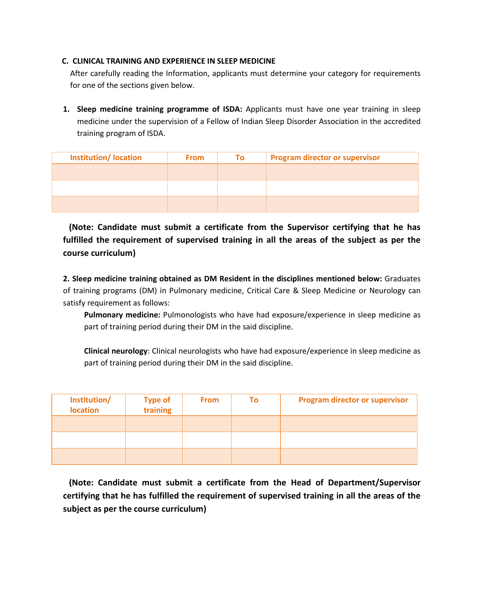## **C. CLINICAL TRAINING AND EXPERIENCE IN SLEEP MEDICINE**

After carefully reading the Information, applicants must determine your category for requirements for one of the sections given below.

**1. Sleep medicine training programme of ISDA:** Applicants must have one year training in sleep medicine under the supervision of a Fellow of Indian Sleep Disorder Association in the accredited training program of ISDA.

| <b>Institution/Iocation</b> | <b>From</b> | To: | <b>Program director or supervisor</b> |
|-----------------------------|-------------|-----|---------------------------------------|
|                             |             |     |                                       |
|                             |             |     |                                       |
|                             |             |     |                                       |
|                             |             |     |                                       |

 **(Note: Candidate must submit a certificate from the Supervisor certifying that he has fulfilled the requirement of supervised training in all the areas of the subject as per the course curriculum)**

**2. Sleep medicine training obtained as DM Resident in the disciplines mentioned below:** Graduates of training programs (DM) in Pulmonary medicine, Critical Care & Sleep Medicine or Neurology can satisfy requirement as follows:

**Pulmonary medicine:** Pulmonologists who have had exposure/experience in sleep medicine as part of training period during their DM in the said discipline.

**Clinical neurology**: Clinical neurologists who have had exposure/experience in sleep medicine as part of training period during their DM in the said discipline.

| Institution/<br><b>location</b> | Type of<br>training | <b>From</b> | Τo | <b>Program director or supervisor</b> |
|---------------------------------|---------------------|-------------|----|---------------------------------------|
|                                 |                     |             |    |                                       |
|                                 |                     |             |    |                                       |
|                                 |                     |             |    |                                       |

 **(Note: Candidate must submit a certificate from the Head of Department/Supervisor certifying that he has fulfilled the requirement of supervised training in all the areas of the subject as per the course curriculum)**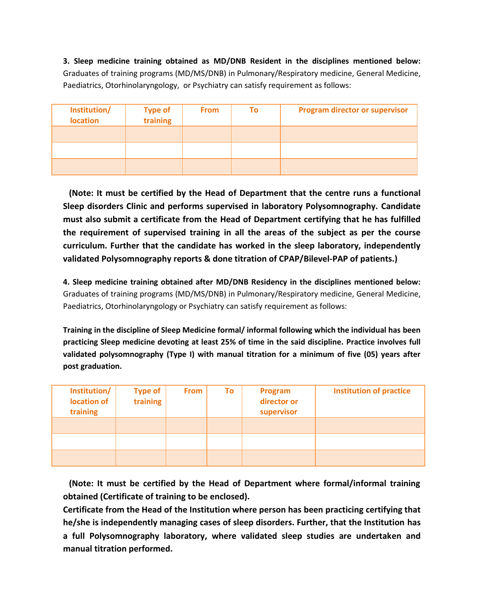**3. Sleep medicine training obtained as MD/DNB Resident in the disciplines mentioned below:** Graduates of training programs (MD/MS/DNB) in Pulmonary/Respiratory medicine, General Medicine, Paediatrics, Otorhinolaryngology, or Psychiatry can satisfy requirement as follows:

| Institution/<br><b>location</b> | <b>Type of</b><br>training | <b>From</b> | Τo | <b>Program director or supervisor</b> |
|---------------------------------|----------------------------|-------------|----|---------------------------------------|
|                                 |                            |             |    |                                       |
|                                 |                            |             |    |                                       |
|                                 |                            |             |    |                                       |

 **(Note: It must be certified by the Head of Department that the centre runs a functional Sleep disorders Clinic and performs supervised in laboratory Polysomnography. Candidate must also submit a certificate from the Head of Department certifying that he has fulfilled the requirement of supervised training in all the areas of the subject as per the course curriculum. Further that the candidate has worked in the sleep laboratory, independently validated Polysomnography reports & done titration of CPAP/Bilevel-PAP of patients.)**

**4. Sleep medicine training obtained after MD/DNB Residency in the disciplines mentioned below:** Graduates of training programs (MD/MS/DNB) in Pulmonary/Respiratory medicine, General Medicine, Paediatrics, Otorhinolaryngology or Psychiatry can satisfy requirement as follows:

**Training in the discipline of Sleep Medicine formal/ informal following which the individual has been practicing Sleep medicine devoting at least 25% of time in the said discipline. Practice involves full validated polysomnography (Type I) with manual titration for a minimum of five (05) years after post graduation.**

| Institution/<br>location of<br>training | <b>Type of</b><br>training | <b>From</b> | To | <b>Program</b><br>director or<br>supervisor | <b>Institution of practice</b> |
|-----------------------------------------|----------------------------|-------------|----|---------------------------------------------|--------------------------------|
|                                         |                            |             |    |                                             |                                |
|                                         |                            |             |    |                                             |                                |
|                                         |                            |             |    |                                             |                                |

 **(Note: It must be certified by the Head of Department where formal/informal training obtained (Certificate of training to be enclosed).** 

**Certificate from the Head of the Institution where person has been practicing certifying that he/she is independently managing cases of sleep disorders. Further, that the Institution has a full Polysomnography laboratory, where validated sleep studies are undertaken and manual titration performed.**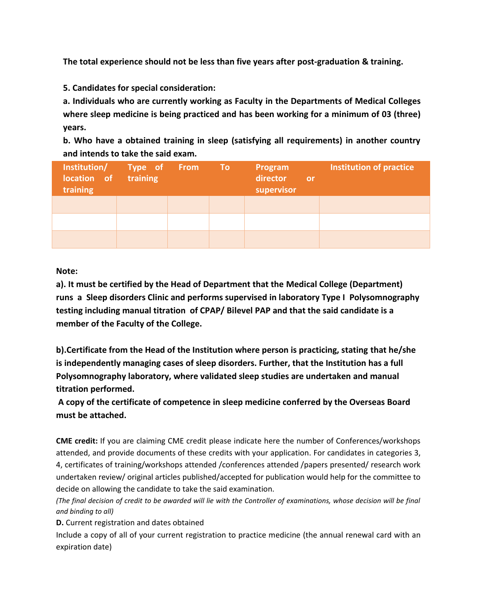**The total experience should not be less than five years after post-graduation & training.**

**5. Candidates for special consideration:**

**a. Individuals who are currently working as Faculty in the Departments of Medical Colleges where sleep medicine is being practiced and has been working for a minimum of 03 (three) years.**

**b. Who have a obtained training in sleep (satisfying all requirements) in another country and intends to take the said exam.** 

| Institution/ Type of From To<br>location of<br>training | training |  | Program<br>director<br><b>or</b><br>supervisor | Institution of practice |
|---------------------------------------------------------|----------|--|------------------------------------------------|-------------------------|
|                                                         |          |  |                                                |                         |
|                                                         |          |  |                                                |                         |
|                                                         |          |  |                                                |                         |

**Note:** 

**a). It must be certified by the Head of Department that the Medical College (Department) runs a Sleep disorders Clinic and performs supervised in laboratory Type I Polysomnography testing including manual titration of CPAP/ Bilevel PAP and that the said candidate is a member of the Faculty of the College.**

**b).Certificate from the Head of the Institution where person is practicing, stating that he/she is independently managing cases of sleep disorders. Further, that the Institution has a full Polysomnography laboratory, where validated sleep studies are undertaken and manual titration performed.** 

**A copy of the certificate of competence in sleep medicine conferred by the Overseas Board must be attached.**

**CME credit:** If you are claiming CME credit please indicate here the number of Conferences/workshops attended, and provide documents of these credits with your application. For candidates in categories 3, 4, certificates of training/workshops attended /conferences attended /papers presented/ research work undertaken review/ original articles published/accepted for publication would help for the committee to decide on allowing the candidate to take the said examination.

*(The final decision of credit to be awarded will lie with the Controller of examinations, whose decision will be final and binding to all)*

**D.** Current registration and dates obtained

Include a copy of all of your current registration to practice medicine (the annual renewal card with an expiration date)